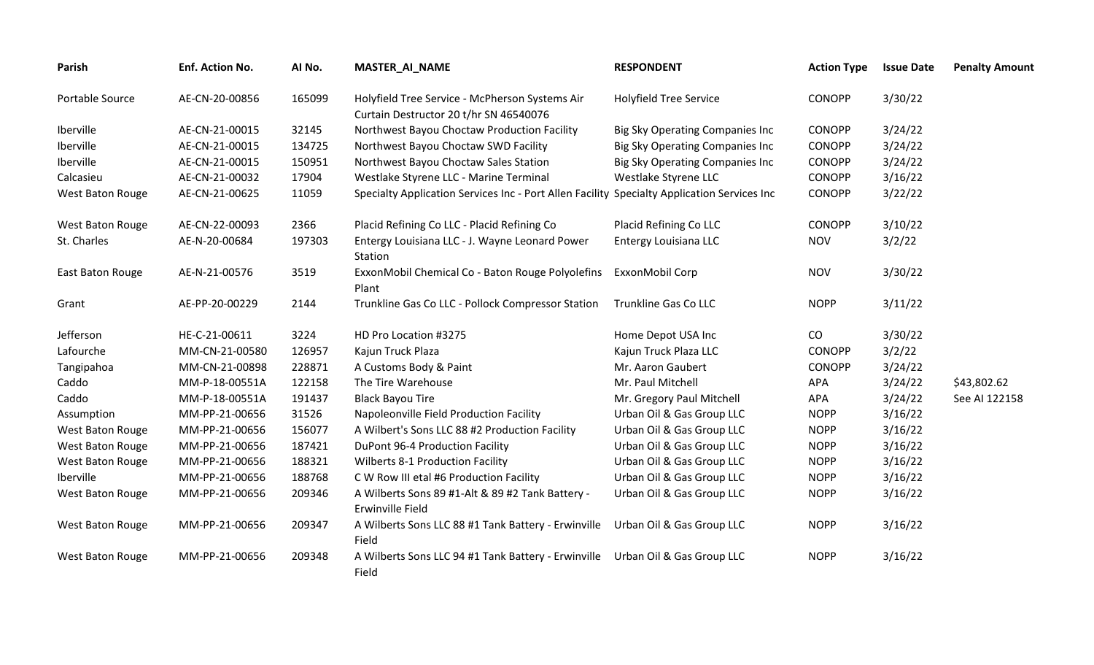| <b>Parish</b>    | Enf. Action No. | Al No. | <b>MASTER_AI_NAME</b>                                                                       | <b>RESPONDENT</b>                      | <b>Action Type</b> | <b>Issue Date</b> | <b>Penalty Amount</b> |
|------------------|-----------------|--------|---------------------------------------------------------------------------------------------|----------------------------------------|--------------------|-------------------|-----------------------|
| Portable Source  | AE-CN-20-00856  | 165099 | Holyfield Tree Service - McPherson Systems Air<br>Curtain Destructor 20 t/hr SN 46540076    | <b>Holyfield Tree Service</b>          | <b>CONOPP</b>      | 3/30/22           |                       |
| Iberville        | AE-CN-21-00015  | 32145  | Northwest Bayou Choctaw Production Facility                                                 | <b>Big Sky Operating Companies Inc</b> | <b>CONOPP</b>      | 3/24/22           |                       |
| Iberville        | AE-CN-21-00015  | 134725 | Northwest Bayou Choctaw SWD Facility                                                        | <b>Big Sky Operating Companies Inc</b> | CONOPP             | 3/24/22           |                       |
| Iberville        | AE-CN-21-00015  | 150951 | Northwest Bayou Choctaw Sales Station                                                       | <b>Big Sky Operating Companies Inc</b> | CONOPP             | 3/24/22           |                       |
| Calcasieu        | AE-CN-21-00032  | 17904  | Westlake Styrene LLC - Marine Terminal                                                      | Westlake Styrene LLC                   | CONOPP             | 3/16/22           |                       |
| West Baton Rouge | AE-CN-21-00625  | 11059  | Specialty Application Services Inc - Port Allen Facility Specialty Application Services Inc |                                        | <b>CONOPP</b>      | 3/22/22           |                       |
| West Baton Rouge | AE-CN-22-00093  | 2366   | Placid Refining Co LLC - Placid Refining Co                                                 | Placid Refining Co LLC                 | <b>CONOPP</b>      | 3/10/22           |                       |
| St. Charles      | AE-N-20-00684   | 197303 | Entergy Louisiana LLC - J. Wayne Leonard Power<br>Station                                   | Entergy Louisiana LLC                  | <b>NOV</b>         | 3/2/22            |                       |
| East Baton Rouge | AE-N-21-00576   | 3519   | ExxonMobil Chemical Co - Baton Rouge Polyolefins<br>Plant                                   | ExxonMobil Corp                        | <b>NOV</b>         | 3/30/22           |                       |
| Grant            | AE-PP-20-00229  | 2144   | Trunkline Gas Co LLC - Pollock Compressor Station                                           | Trunkline Gas Co LLC                   | <b>NOPP</b>        | 3/11/22           |                       |
| Jefferson        | HE-C-21-00611   | 3224   | HD Pro Location #3275                                                                       | Home Depot USA Inc                     | CO                 | 3/30/22           |                       |
| Lafourche        | MM-CN-21-00580  | 126957 | Kajun Truck Plaza                                                                           | Kajun Truck Plaza LLC                  | CONOPP             | 3/2/22            |                       |
| Tangipahoa       | MM-CN-21-00898  | 228871 | A Customs Body & Paint                                                                      | Mr. Aaron Gaubert                      | <b>CONOPP</b>      | 3/24/22           |                       |
| Caddo            | MM-P-18-00551A  | 122158 | The Tire Warehouse                                                                          | Mr. Paul Mitchell                      | APA                | 3/24/22           | \$43,802.62           |
| Caddo            | MM-P-18-00551A  | 191437 | <b>Black Bayou Tire</b>                                                                     | Mr. Gregory Paul Mitchell              | <b>APA</b>         | 3/24/22           | See AI 122158         |
| Assumption       | MM-PP-21-00656  | 31526  | Napoleonville Field Production Facility                                                     | Urban Oil & Gas Group LLC              | <b>NOPP</b>        | 3/16/22           |                       |
| West Baton Rouge | MM-PP-21-00656  | 156077 | A Wilbert's Sons LLC 88 #2 Production Facility                                              | Urban Oil & Gas Group LLC              | <b>NOPP</b>        | 3/16/22           |                       |
| West Baton Rouge | MM-PP-21-00656  | 187421 | DuPont 96-4 Production Facility                                                             | Urban Oil & Gas Group LLC              | <b>NOPP</b>        | 3/16/22           |                       |
| West Baton Rouge | MM-PP-21-00656  | 188321 | <b>Wilberts 8-1 Production Facility</b>                                                     | Urban Oil & Gas Group LLC              | <b>NOPP</b>        | 3/16/22           |                       |
| Iberville        | MM-PP-21-00656  | 188768 | C W Row III etal #6 Production Facility                                                     | Urban Oil & Gas Group LLC              | <b>NOPP</b>        | 3/16/22           |                       |
| West Baton Rouge | MM-PP-21-00656  | 209346 | A Wilberts Sons 89 #1-Alt & 89 #2 Tank Battery -<br>Erwinville Field                        | Urban Oil & Gas Group LLC              | <b>NOPP</b>        | 3/16/22           |                       |
| West Baton Rouge | MM-PP-21-00656  | 209347 | A Wilberts Sons LLC 88 #1 Tank Battery - Erwinville<br>Field                                | Urban Oil & Gas Group LLC              | <b>NOPP</b>        | 3/16/22           |                       |
| West Baton Rouge | MM-PP-21-00656  | 209348 | A Wilberts Sons LLC 94 #1 Tank Battery - Erwinville<br>Field                                | Urban Oil & Gas Group LLC              | <b>NOPP</b>        | 3/16/22           |                       |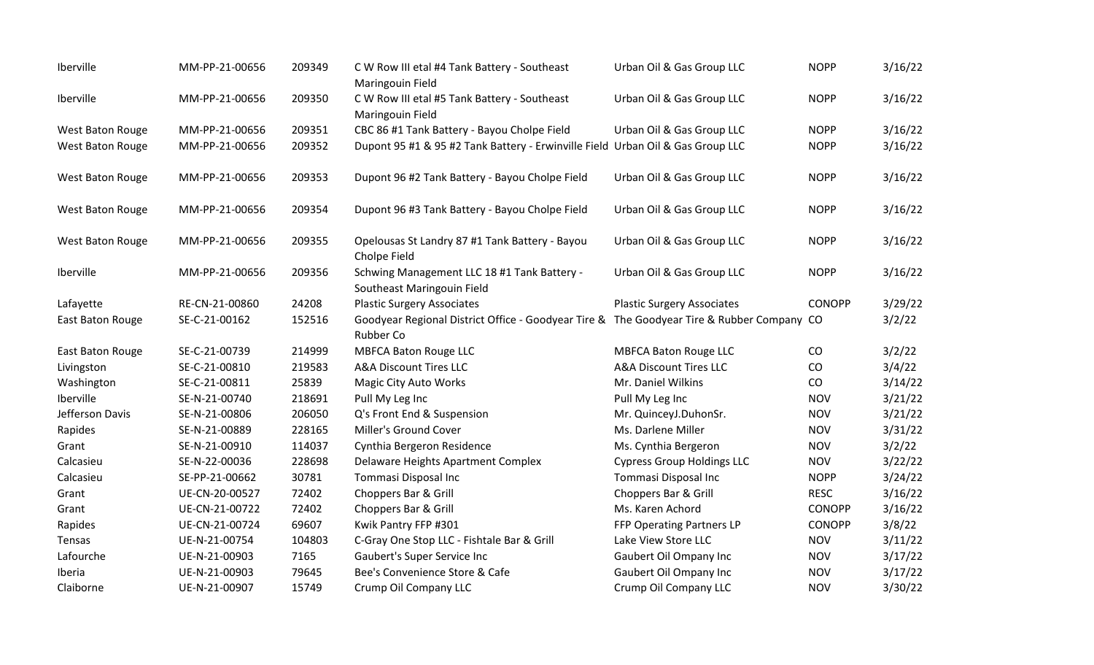| Iberville               | MM-PP-21-00656 | 209349 | C W Row III etal #4 Tank Battery - Southeast<br>Maringouin Field                                              | Urban Oil & Gas Group LLC         | <b>NOPP</b>   | 3/16/22 |
|-------------------------|----------------|--------|---------------------------------------------------------------------------------------------------------------|-----------------------------------|---------------|---------|
| Iberville               | MM-PP-21-00656 | 209350 | C W Row III etal #5 Tank Battery - Southeast<br>Maringouin Field                                              | Urban Oil & Gas Group LLC         | <b>NOPP</b>   | 3/16/22 |
| West Baton Rouge        | MM-PP-21-00656 | 209351 | CBC 86 #1 Tank Battery - Bayou Cholpe Field                                                                   | Urban Oil & Gas Group LLC         | <b>NOPP</b>   | 3/16/22 |
| West Baton Rouge        | MM-PP-21-00656 | 209352 | Dupont 95 #1 & 95 #2 Tank Battery - Erwinville Field Urban Oil & Gas Group LLC                                |                                   | <b>NOPP</b>   | 3/16/22 |
| West Baton Rouge        | MM-PP-21-00656 | 209353 | Dupont 96 #2 Tank Battery - Bayou Cholpe Field                                                                | Urban Oil & Gas Group LLC         | <b>NOPP</b>   | 3/16/22 |
| West Baton Rouge        | MM-PP-21-00656 | 209354 | Dupont 96 #3 Tank Battery - Bayou Cholpe Field                                                                | Urban Oil & Gas Group LLC         | <b>NOPP</b>   | 3/16/22 |
| <b>West Baton Rouge</b> | MM-PP-21-00656 | 209355 | Opelousas St Landry 87 #1 Tank Battery - Bayou<br>Cholpe Field                                                | Urban Oil & Gas Group LLC         | <b>NOPP</b>   | 3/16/22 |
| Iberville               | MM-PP-21-00656 | 209356 | Schwing Management LLC 18 #1 Tank Battery -<br>Southeast Maringouin Field                                     | Urban Oil & Gas Group LLC         | <b>NOPP</b>   | 3/16/22 |
| Lafayette               | RE-CN-21-00860 | 24208  | <b>Plastic Surgery Associates</b>                                                                             | <b>Plastic Surgery Associates</b> | <b>CONOPP</b> | 3/29/22 |
| East Baton Rouge        | SE-C-21-00162  | 152516 | Goodyear Regional District Office - Goodyear Tire & The Goodyear Tire & Rubber Company CO<br><b>Rubber Co</b> |                                   |               | 3/2/22  |
| East Baton Rouge        | SE-C-21-00739  | 214999 | <b>MBFCA Baton Rouge LLC</b>                                                                                  | <b>MBFCA Baton Rouge LLC</b>      | CO            | 3/2/22  |
| Livingston              | SE-C-21-00810  | 219583 | <b>A&amp;A Discount Tires LLC</b>                                                                             | <b>A&amp;A Discount Tires LLC</b> | CO            | 3/4/22  |
| Washington              | SE-C-21-00811  | 25839  | <b>Magic City Auto Works</b>                                                                                  | Mr. Daniel Wilkins                | CO            | 3/14/22 |
| Iberville               | SE-N-21-00740  | 218691 | Pull My Leg Inc                                                                                               | Pull My Leg Inc                   | <b>NOV</b>    | 3/21/22 |
| Jefferson Davis         | SE-N-21-00806  | 206050 | Q's Front End & Suspension                                                                                    | Mr. QuinceyJ.DuhonSr.             | <b>NOV</b>    | 3/21/22 |
| Rapides                 | SE-N-21-00889  | 228165 | Miller's Ground Cover                                                                                         | Ms. Darlene Miller                | <b>NOV</b>    | 3/31/22 |
| Grant                   | SE-N-21-00910  | 114037 | Cynthia Bergeron Residence                                                                                    | Ms. Cynthia Bergeron              | <b>NOV</b>    | 3/2/22  |
| Calcasieu               | SE-N-22-00036  | 228698 | Delaware Heights Apartment Complex                                                                            | <b>Cypress Group Holdings LLC</b> | <b>NOV</b>    | 3/22/22 |
| Calcasieu               | SE-PP-21-00662 | 30781  | Tommasi Disposal Inc                                                                                          | Tommasi Disposal Inc              | <b>NOPP</b>   | 3/24/22 |
| Grant                   | UE-CN-20-00527 | 72402  | Choppers Bar & Grill                                                                                          | Choppers Bar & Grill              | <b>RESC</b>   | 3/16/22 |
| Grant                   | UE-CN-21-00722 | 72402  | Choppers Bar & Grill                                                                                          | Ms. Karen Achord                  | <b>CONOPP</b> | 3/16/22 |
| Rapides                 | UE-CN-21-00724 | 69607  | Kwik Pantry FFP #301                                                                                          | FFP Operating Partners LP         | <b>CONOPP</b> | 3/8/22  |
| Tensas                  | UE-N-21-00754  | 104803 | C-Gray One Stop LLC - Fishtale Bar & Grill                                                                    | Lake View Store LLC               | <b>NOV</b>    | 3/11/22 |
| Lafourche               | UE-N-21-00903  | 7165   | Gaubert's Super Service Inc                                                                                   | Gaubert Oil Ompany Inc            | <b>NOV</b>    | 3/17/22 |
| Iberia                  | UE-N-21-00903  | 79645  | Bee's Convenience Store & Cafe                                                                                | Gaubert Oil Ompany Inc            | <b>NOV</b>    | 3/17/22 |
| Claiborne               | UE-N-21-00907  | 15749  | Crump Oil Company LLC                                                                                         | Crump Oil Company LLC             | <b>NOV</b>    | 3/30/22 |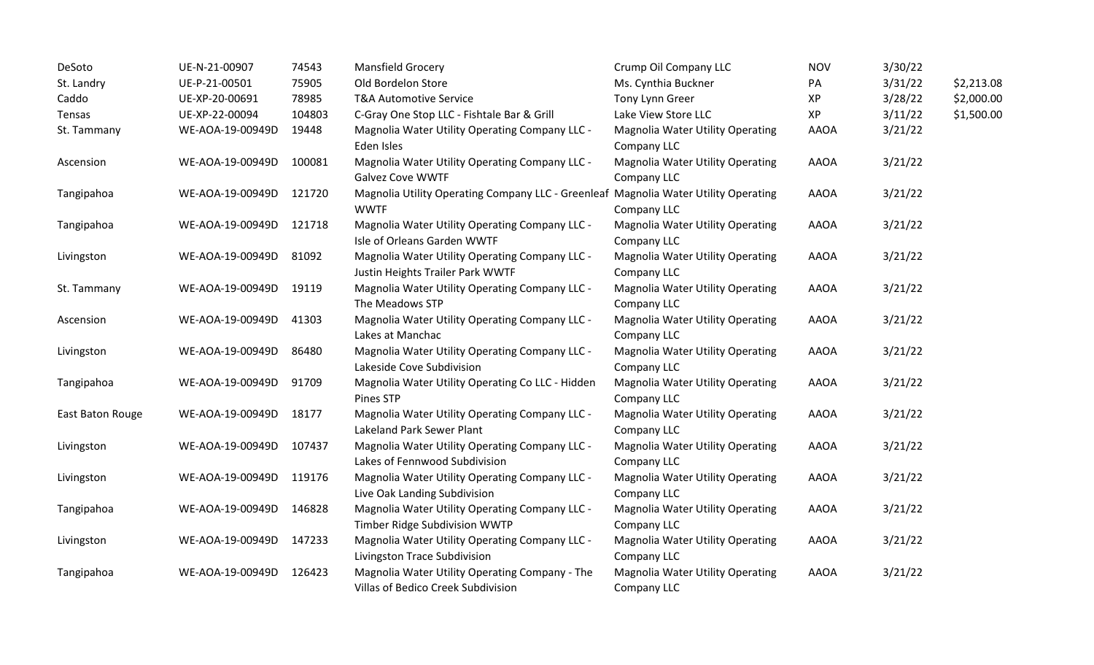| DeSoto           | UE-N-21-00907    | 74543  | Mansfield Grocery                                                                                  | Crump Oil Company LLC                                  | <b>NOV</b>  | 3/30/22 |            |
|------------------|------------------|--------|----------------------------------------------------------------------------------------------------|--------------------------------------------------------|-------------|---------|------------|
| St. Landry       | UE-P-21-00501    | 75905  | Old Bordelon Store                                                                                 | Ms. Cynthia Buckner                                    | PA          | 3/31/22 | \$2,213.08 |
| Caddo            | UE-XP-20-00691   | 78985  | <b>T&amp;A Automotive Service</b>                                                                  | Tony Lynn Greer                                        | XP          | 3/28/22 | \$2,000.00 |
| Tensas           | UE-XP-22-00094   | 104803 | C-Gray One Stop LLC - Fishtale Bar & Grill                                                         | Lake View Store LLC                                    | XP          | 3/11/22 | \$1,500.00 |
| St. Tammany      | WE-AOA-19-00949D | 19448  | Magnolia Water Utility Operating Company LLC -<br>Eden Isles                                       | Magnolia Water Utility Operating<br>Company LLC        | <b>AAOA</b> | 3/21/22 |            |
| Ascension        | WE-AOA-19-00949D | 100081 | Magnolia Water Utility Operating Company LLC -<br><b>Galvez Cove WWTF</b>                          | <b>Magnolia Water Utility Operating</b><br>Company LLC | <b>AAOA</b> | 3/21/22 |            |
| Tangipahoa       | WE-AOA-19-00949D | 121720 | Magnolia Utility Operating Company LLC - Greenleaf Magnolia Water Utility Operating<br><b>WWTF</b> | Company LLC                                            | <b>AAOA</b> | 3/21/22 |            |
| Tangipahoa       | WE-AOA-19-00949D | 121718 | Magnolia Water Utility Operating Company LLC -<br>Isle of Orleans Garden WWTF                      | <b>Magnolia Water Utility Operating</b><br>Company LLC | <b>AAOA</b> | 3/21/22 |            |
| Livingston       | WE-AOA-19-00949D | 81092  | Magnolia Water Utility Operating Company LLC -<br>Justin Heights Trailer Park WWTF                 | <b>Magnolia Water Utility Operating</b><br>Company LLC | <b>AAOA</b> | 3/21/22 |            |
| St. Tammany      | WE-AOA-19-00949D | 19119  | Magnolia Water Utility Operating Company LLC -<br>The Meadows STP                                  | <b>Magnolia Water Utility Operating</b><br>Company LLC | <b>AAOA</b> | 3/21/22 |            |
| Ascension        | WE-AOA-19-00949D | 41303  | Magnolia Water Utility Operating Company LLC -<br>Lakes at Manchac                                 | <b>Magnolia Water Utility Operating</b><br>Company LLC | AAOA        | 3/21/22 |            |
| Livingston       | WE-AOA-19-00949D | 86480  | Magnolia Water Utility Operating Company LLC -<br>Lakeside Cove Subdivision                        | <b>Magnolia Water Utility Operating</b><br>Company LLC | <b>AAOA</b> | 3/21/22 |            |
| Tangipahoa       | WE-AOA-19-00949D | 91709  | Magnolia Water Utility Operating Co LLC - Hidden<br>Pines STP                                      | <b>Magnolia Water Utility Operating</b><br>Company LLC | <b>AAOA</b> | 3/21/22 |            |
| East Baton Rouge | WE-AOA-19-00949D | 18177  | Magnolia Water Utility Operating Company LLC -<br>Lakeland Park Sewer Plant                        | <b>Magnolia Water Utility Operating</b><br>Company LLC | <b>AAOA</b> | 3/21/22 |            |
| Livingston       | WE-AOA-19-00949D | 107437 | Magnolia Water Utility Operating Company LLC -<br>Lakes of Fennwood Subdivision                    | <b>Magnolia Water Utility Operating</b><br>Company LLC | <b>AAOA</b> | 3/21/22 |            |
| Livingston       | WE-AOA-19-00949D | 119176 | Magnolia Water Utility Operating Company LLC -<br>Live Oak Landing Subdivision                     | <b>Magnolia Water Utility Operating</b><br>Company LLC | <b>AAOA</b> | 3/21/22 |            |
| Tangipahoa       | WE-AOA-19-00949D | 146828 | Magnolia Water Utility Operating Company LLC -<br>Timber Ridge Subdivision WWTP                    | <b>Magnolia Water Utility Operating</b><br>Company LLC | <b>AAOA</b> | 3/21/22 |            |
| Livingston       | WE-AOA-19-00949D | 147233 | Magnolia Water Utility Operating Company LLC -<br>Livingston Trace Subdivision                     | <b>Magnolia Water Utility Operating</b><br>Company LLC | <b>AAOA</b> | 3/21/22 |            |
| Tangipahoa       | WE-AOA-19-00949D | 126423 | Magnolia Water Utility Operating Company - The<br>Villas of Bedico Creek Subdivision               | <b>Magnolia Water Utility Operating</b><br>Company LLC | <b>AAOA</b> | 3/21/22 |            |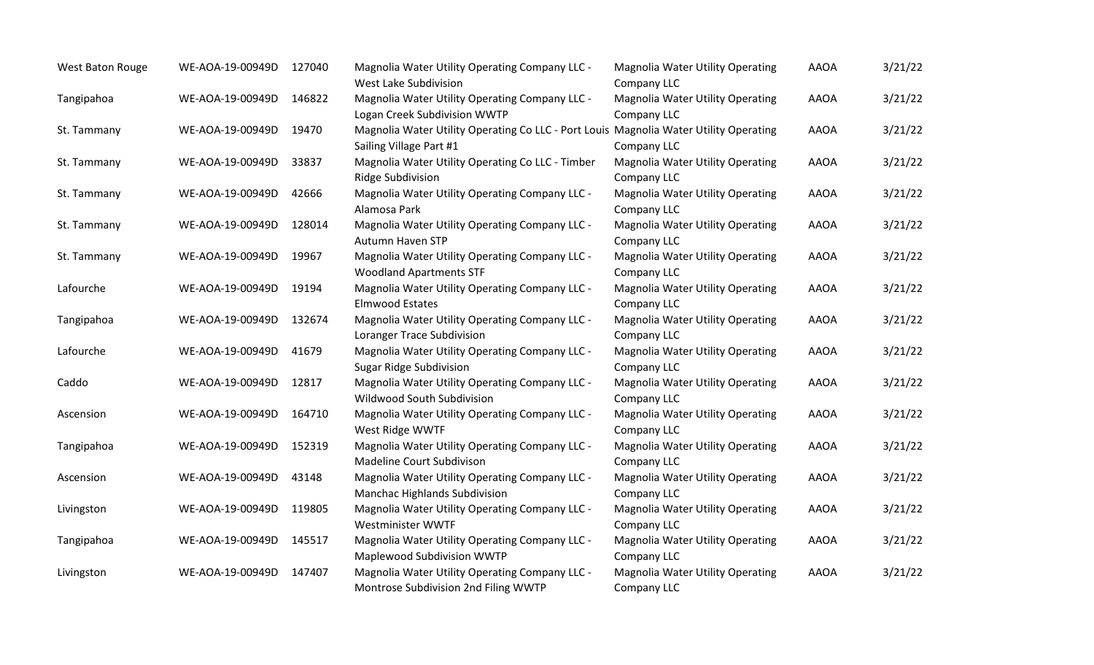| West Baton Rouge | WE-AOA-19-00949D | 127040 | Magnolia Water Utility Operating Company LLC -<br>West Lake Subdivision                                          | <b>Magnolia Water Utility Operating</b><br>Company LLC | <b>AAOA</b> | 3/21/22 |
|------------------|------------------|--------|------------------------------------------------------------------------------------------------------------------|--------------------------------------------------------|-------------|---------|
| Tangipahoa       | WE-AOA-19-00949D | 146822 | Magnolia Water Utility Operating Company LLC -<br>Logan Creek Subdivision WWTP                                   | <b>Magnolia Water Utility Operating</b><br>Company LLC | <b>AAOA</b> | 3/21/22 |
| St. Tammany      | WE-AOA-19-00949D | 19470  | Magnolia Water Utility Operating Co LLC - Port Louis Magnolia Water Utility Operating<br>Sailing Village Part #1 | Company LLC                                            | <b>AAOA</b> | 3/21/22 |
| St. Tammany      | WE-AOA-19-00949D | 33837  | Magnolia Water Utility Operating Co LLC - Timber<br>Ridge Subdivision                                            | Magnolia Water Utility Operating<br>Company LLC        | <b>AAOA</b> | 3/21/22 |
| St. Tammany      | WE-AOA-19-00949D | 42666  | Magnolia Water Utility Operating Company LLC -<br>Alamosa Park                                                   | Magnolia Water Utility Operating<br>Company LLC        | <b>AAOA</b> | 3/21/22 |
| St. Tammany      | WE-AOA-19-00949D | 128014 | Magnolia Water Utility Operating Company LLC -<br><b>Autumn Haven STP</b>                                        | <b>Magnolia Water Utility Operating</b><br>Company LLC | <b>AAOA</b> | 3/21/22 |
| St. Tammany      | WE-AOA-19-00949D | 19967  | Magnolia Water Utility Operating Company LLC -<br><b>Woodland Apartments STF</b>                                 | <b>Magnolia Water Utility Operating</b><br>Company LLC | <b>AAOA</b> | 3/21/22 |
| Lafourche        | WE-AOA-19-00949D | 19194  | Magnolia Water Utility Operating Company LLC -<br><b>Elmwood Estates</b>                                         | <b>Magnolia Water Utility Operating</b><br>Company LLC | <b>AAOA</b> | 3/21/22 |
| Tangipahoa       | WE-AOA-19-00949D | 132674 | Magnolia Water Utility Operating Company LLC -<br>Loranger Trace Subdivision                                     | Magnolia Water Utility Operating<br>Company LLC        | <b>AAOA</b> | 3/21/22 |
| Lafourche        | WE-AOA-19-00949D | 41679  | Magnolia Water Utility Operating Company LLC -<br><b>Sugar Ridge Subdivision</b>                                 | <b>Magnolia Water Utility Operating</b><br>Company LLC | <b>AAOA</b> | 3/21/22 |
| Caddo            | WE-AOA-19-00949D | 12817  | Magnolia Water Utility Operating Company LLC -<br>Wildwood South Subdivision                                     | <b>Magnolia Water Utility Operating</b><br>Company LLC | <b>AAOA</b> | 3/21/22 |
| Ascension        | WE-AOA-19-00949D | 164710 | Magnolia Water Utility Operating Company LLC -<br>West Ridge WWTF                                                | <b>Magnolia Water Utility Operating</b><br>Company LLC | <b>AAOA</b> | 3/21/22 |
| Tangipahoa       | WE-AOA-19-00949D | 152319 | Magnolia Water Utility Operating Company LLC -<br>Madeline Court Subdivison                                      | Magnolia Water Utility Operating<br>Company LLC        | <b>AAOA</b> | 3/21/22 |
| Ascension        | WE-AOA-19-00949D | 43148  | Magnolia Water Utility Operating Company LLC -<br>Manchac Highlands Subdivision                                  | Magnolia Water Utility Operating<br>Company LLC        | <b>AAOA</b> | 3/21/22 |
| Livingston       | WE-AOA-19-00949D | 119805 | Magnolia Water Utility Operating Company LLC -<br>Westminister WWTF                                              | <b>Magnolia Water Utility Operating</b><br>Company LLC | <b>AAOA</b> | 3/21/22 |
| Tangipahoa       | WE-AOA-19-00949D | 145517 | Magnolia Water Utility Operating Company LLC -<br>Maplewood Subdivision WWTP                                     | <b>Magnolia Water Utility Operating</b><br>Company LLC | <b>AAOA</b> | 3/21/22 |
| Livingston       | WE-AOA-19-00949D | 147407 | Magnolia Water Utility Operating Company LLC -<br>Montrose Subdivision 2nd Filing WWTP                           | <b>Magnolia Water Utility Operating</b><br>Company LLC | <b>AAOA</b> | 3/21/22 |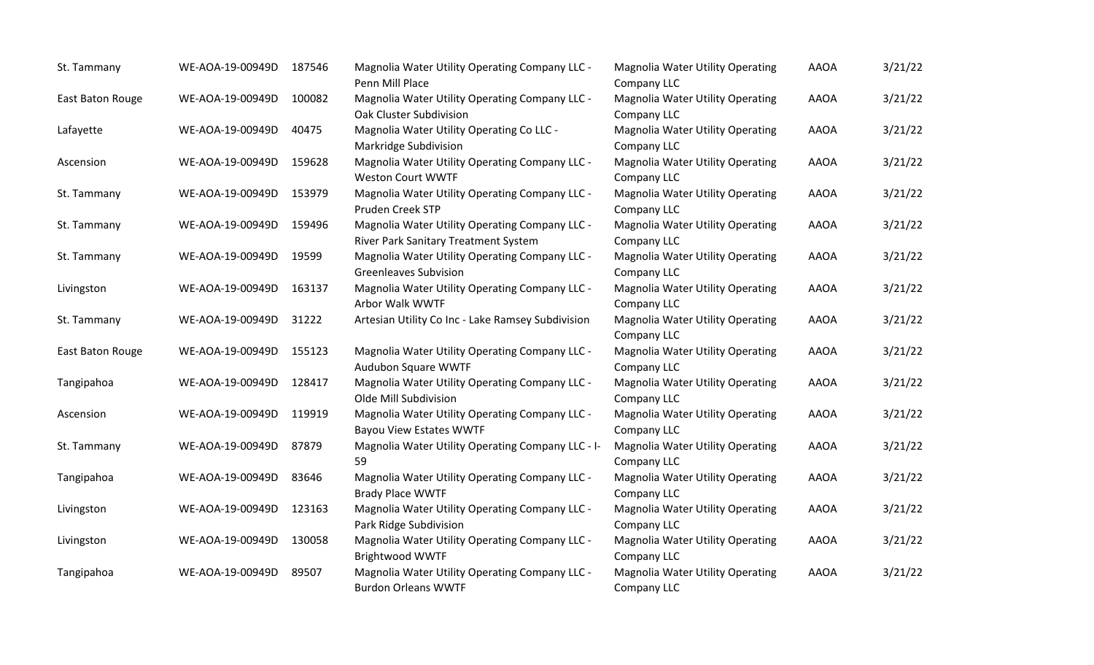| St. Tammany      | WE-AOA-19-00949D | 187546 | Magnolia Water Utility Operating Company LLC -<br>Penn Mill Place                      | Magnolia Water Utility Operating<br>Company LLC        | <b>AAOA</b> | 3/21/22 |
|------------------|------------------|--------|----------------------------------------------------------------------------------------|--------------------------------------------------------|-------------|---------|
| East Baton Rouge | WE-AOA-19-00949D | 100082 | Magnolia Water Utility Operating Company LLC -<br>Oak Cluster Subdivision              | <b>Magnolia Water Utility Operating</b><br>Company LLC | <b>AAOA</b> | 3/21/22 |
| Lafayette        | WE-AOA-19-00949D | 40475  | Magnolia Water Utility Operating Co LLC -<br>Markridge Subdivision                     | Magnolia Water Utility Operating<br>Company LLC        | <b>AAOA</b> | 3/21/22 |
| Ascension        | WE-AOA-19-00949D | 159628 | Magnolia Water Utility Operating Company LLC -<br><b>Weston Court WWTF</b>             | <b>Magnolia Water Utility Operating</b><br>Company LLC | <b>AAOA</b> | 3/21/22 |
| St. Tammany      | WE-AOA-19-00949D | 153979 | Magnolia Water Utility Operating Company LLC -<br>Pruden Creek STP                     | <b>Magnolia Water Utility Operating</b><br>Company LLC | <b>AAOA</b> | 3/21/22 |
| St. Tammany      | WE-AOA-19-00949D | 159496 | Magnolia Water Utility Operating Company LLC -<br>River Park Sanitary Treatment System | <b>Magnolia Water Utility Operating</b><br>Company LLC | <b>AAOA</b> | 3/21/22 |
| St. Tammany      | WE-AOA-19-00949D | 19599  | Magnolia Water Utility Operating Company LLC -<br><b>Greenleaves Subvision</b>         | <b>Magnolia Water Utility Operating</b><br>Company LLC | <b>AAOA</b> | 3/21/22 |
| Livingston       | WE-AOA-19-00949D | 163137 | Magnolia Water Utility Operating Company LLC -<br>Arbor Walk WWTF                      | Magnolia Water Utility Operating<br>Company LLC        | <b>AAOA</b> | 3/21/22 |
| St. Tammany      | WE-AOA-19-00949D | 31222  | Artesian Utility Co Inc - Lake Ramsey Subdivision                                      | <b>Magnolia Water Utility Operating</b><br>Company LLC | <b>AAOA</b> | 3/21/22 |
| East Baton Rouge | WE-AOA-19-00949D | 155123 | Magnolia Water Utility Operating Company LLC -<br>Audubon Square WWTF                  | <b>Magnolia Water Utility Operating</b><br>Company LLC | <b>AAOA</b> | 3/21/22 |
| Tangipahoa       | WE-AOA-19-00949D | 128417 | Magnolia Water Utility Operating Company LLC -<br>Olde Mill Subdivision                | Magnolia Water Utility Operating<br>Company LLC        | <b>AAOA</b> | 3/21/22 |
| Ascension        | WE-AOA-19-00949D | 119919 | Magnolia Water Utility Operating Company LLC -<br><b>Bayou View Estates WWTF</b>       | <b>Magnolia Water Utility Operating</b><br>Company LLC | <b>AAOA</b> | 3/21/22 |
| St. Tammany      | WE-AOA-19-00949D | 87879  | Magnolia Water Utility Operating Company LLC - I-<br>59                                | <b>Magnolia Water Utility Operating</b><br>Company LLC | <b>AAOA</b> | 3/21/22 |
| Tangipahoa       | WE-AOA-19-00949D | 83646  | Magnolia Water Utility Operating Company LLC -<br><b>Brady Place WWTF</b>              | <b>Magnolia Water Utility Operating</b><br>Company LLC | <b>AAOA</b> | 3/21/22 |
| Livingston       | WE-AOA-19-00949D | 123163 | Magnolia Water Utility Operating Company LLC -<br>Park Ridge Subdivision               | <b>Magnolia Water Utility Operating</b><br>Company LLC | <b>AAOA</b> | 3/21/22 |
| Livingston       | WE-AOA-19-00949D | 130058 | Magnolia Water Utility Operating Company LLC -<br>Brightwood WWTF                      | <b>Magnolia Water Utility Operating</b><br>Company LLC | <b>AAOA</b> | 3/21/22 |
| Tangipahoa       | WE-AOA-19-00949D | 89507  | Magnolia Water Utility Operating Company LLC -<br><b>Burdon Orleans WWTF</b>           | <b>Magnolia Water Utility Operating</b><br>Company LLC | <b>AAOA</b> | 3/21/22 |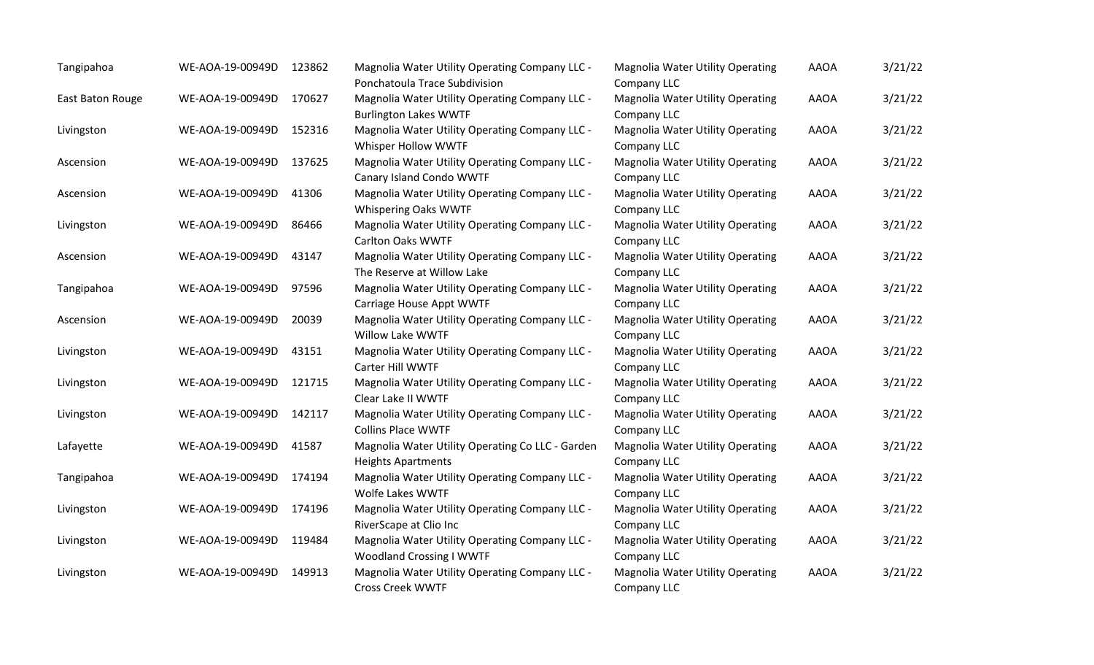| Tangipahoa       | WE-AOA-19-00949D | 123862 | Magnolia Water Utility Operating Company LLC -<br>Ponchatoula Trace Subdivision   | <b>Magnolia Water Utility Operating</b><br>Company LLC | <b>AAOA</b> | 3/21/22 |
|------------------|------------------|--------|-----------------------------------------------------------------------------------|--------------------------------------------------------|-------------|---------|
| East Baton Rouge | WE-AOA-19-00949D | 170627 | Magnolia Water Utility Operating Company LLC -<br><b>Burlington Lakes WWTF</b>    | <b>Magnolia Water Utility Operating</b><br>Company LLC | <b>AAOA</b> | 3/21/22 |
| Livingston       | WE-AOA-19-00949D | 152316 | Magnolia Water Utility Operating Company LLC -<br>Whisper Hollow WWTF             | <b>Magnolia Water Utility Operating</b><br>Company LLC | <b>AAOA</b> | 3/21/22 |
| Ascension        | WE-AOA-19-00949D | 137625 | Magnolia Water Utility Operating Company LLC -<br>Canary Island Condo WWTF        | <b>Magnolia Water Utility Operating</b><br>Company LLC | <b>AAOA</b> | 3/21/22 |
| Ascension        | WE-AOA-19-00949D | 41306  | Magnolia Water Utility Operating Company LLC -<br>Whispering Oaks WWTF            | <b>Magnolia Water Utility Operating</b><br>Company LLC | <b>AAOA</b> | 3/21/22 |
| Livingston       | WE-AOA-19-00949D | 86466  | Magnolia Water Utility Operating Company LLC -<br><b>Carlton Oaks WWTF</b>        | <b>Magnolia Water Utility Operating</b><br>Company LLC | <b>AAOA</b> | 3/21/22 |
| Ascension        | WE-AOA-19-00949D | 43147  | Magnolia Water Utility Operating Company LLC -<br>The Reserve at Willow Lake      | <b>Magnolia Water Utility Operating</b><br>Company LLC | <b>AAOA</b> | 3/21/22 |
| Tangipahoa       | WE-AOA-19-00949D | 97596  | Magnolia Water Utility Operating Company LLC -<br>Carriage House Appt WWTF        | <b>Magnolia Water Utility Operating</b><br>Company LLC | <b>AAOA</b> | 3/21/22 |
| Ascension        | WE-AOA-19-00949D | 20039  | Magnolia Water Utility Operating Company LLC -<br>Willow Lake WWTF                | <b>Magnolia Water Utility Operating</b><br>Company LLC | <b>AAOA</b> | 3/21/22 |
| Livingston       | WE-AOA-19-00949D | 43151  | Magnolia Water Utility Operating Company LLC -<br>Carter Hill WWTF                | <b>Magnolia Water Utility Operating</b><br>Company LLC | <b>AAOA</b> | 3/21/22 |
| Livingston       | WE-AOA-19-00949D | 121715 | Magnolia Water Utility Operating Company LLC -<br>Clear Lake II WWTF              | <b>Magnolia Water Utility Operating</b><br>Company LLC | <b>AAOA</b> | 3/21/22 |
| Livingston       | WE-AOA-19-00949D | 142117 | Magnolia Water Utility Operating Company LLC -<br><b>Collins Place WWTF</b>       | <b>Magnolia Water Utility Operating</b><br>Company LLC | <b>AAOA</b> | 3/21/22 |
| Lafayette        | WE-AOA-19-00949D | 41587  | Magnolia Water Utility Operating Co LLC - Garden<br><b>Heights Apartments</b>     | Magnolia Water Utility Operating<br>Company LLC        | <b>AAOA</b> | 3/21/22 |
| Tangipahoa       | WE-AOA-19-00949D | 174194 | Magnolia Water Utility Operating Company LLC -<br>Wolfe Lakes WWTF                | Magnolia Water Utility Operating<br>Company LLC        | <b>AAOA</b> | 3/21/22 |
| Livingston       | WE-AOA-19-00949D | 174196 | Magnolia Water Utility Operating Company LLC -<br>RiverScape at Clio Inc          | <b>Magnolia Water Utility Operating</b><br>Company LLC | <b>AAOA</b> | 3/21/22 |
| Livingston       | WE-AOA-19-00949D | 119484 | Magnolia Water Utility Operating Company LLC -<br><b>Woodland Crossing I WWTF</b> | Magnolia Water Utility Operating<br>Company LLC        | <b>AAOA</b> | 3/21/22 |
| Livingston       | WE-AOA-19-00949D | 149913 | Magnolia Water Utility Operating Company LLC -<br><b>Cross Creek WWTF</b>         | <b>Magnolia Water Utility Operating</b><br>Company LLC | <b>AAOA</b> | 3/21/22 |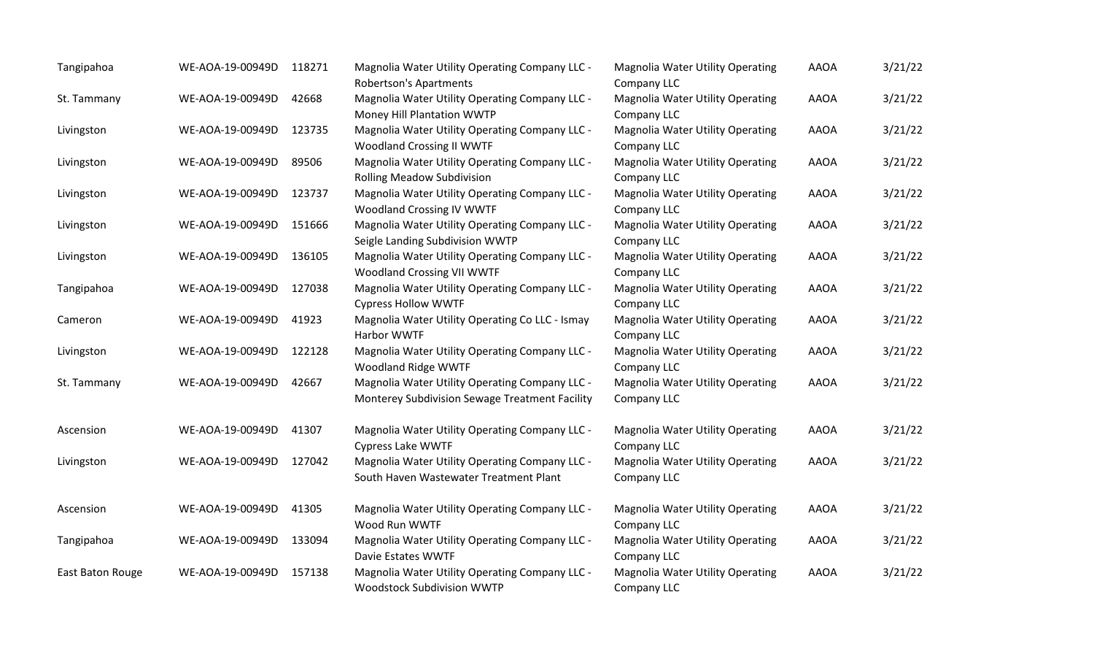| Tangipahoa       | WE-AOA-19-00949D | 118271 | Magnolia Water Utility Operating Company LLC -<br><b>Robertson's Apartments</b>                  | <b>Magnolia Water Utility Operating</b><br>Company LLC | <b>AAOA</b> | 3/21/22 |
|------------------|------------------|--------|--------------------------------------------------------------------------------------------------|--------------------------------------------------------|-------------|---------|
| St. Tammany      | WE-AOA-19-00949D | 42668  | Magnolia Water Utility Operating Company LLC -<br>Money Hill Plantation WWTP                     | <b>Magnolia Water Utility Operating</b><br>Company LLC | <b>AAOA</b> | 3/21/22 |
| Livingston       | WE-AOA-19-00949D | 123735 | Magnolia Water Utility Operating Company LLC -<br><b>Woodland Crossing II WWTF</b>               | <b>Magnolia Water Utility Operating</b><br>Company LLC | <b>AAOA</b> | 3/21/22 |
| Livingston       | WE-AOA-19-00949D | 89506  | Magnolia Water Utility Operating Company LLC -<br><b>Rolling Meadow Subdivision</b>              | <b>Magnolia Water Utility Operating</b><br>Company LLC | <b>AAOA</b> | 3/21/22 |
| Livingston       | WE-AOA-19-00949D | 123737 | Magnolia Water Utility Operating Company LLC -<br><b>Woodland Crossing IV WWTF</b>               | <b>Magnolia Water Utility Operating</b><br>Company LLC | <b>AAOA</b> | 3/21/22 |
| Livingston       | WE-AOA-19-00949D | 151666 | Magnolia Water Utility Operating Company LLC -<br>Seigle Landing Subdivision WWTP                | <b>Magnolia Water Utility Operating</b><br>Company LLC | <b>AAOA</b> | 3/21/22 |
| Livingston       | WE-AOA-19-00949D | 136105 | Magnolia Water Utility Operating Company LLC -<br><b>Woodland Crossing VII WWTF</b>              | <b>Magnolia Water Utility Operating</b><br>Company LLC | <b>AAOA</b> | 3/21/22 |
| Tangipahoa       | WE-AOA-19-00949D | 127038 | Magnolia Water Utility Operating Company LLC -<br><b>Cypress Hollow WWTF</b>                     | <b>Magnolia Water Utility Operating</b><br>Company LLC | <b>AAOA</b> | 3/21/22 |
| Cameron          | WE-AOA-19-00949D | 41923  | Magnolia Water Utility Operating Co LLC - Ismay<br>Harbor WWTF                                   | <b>Magnolia Water Utility Operating</b><br>Company LLC | <b>AAOA</b> | 3/21/22 |
| Livingston       | WE-AOA-19-00949D | 122128 | Magnolia Water Utility Operating Company LLC -<br>Woodland Ridge WWTF                            | <b>Magnolia Water Utility Operating</b><br>Company LLC | <b>AAOA</b> | 3/21/22 |
| St. Tammany      | WE-AOA-19-00949D | 42667  | Magnolia Water Utility Operating Company LLC -<br>Monterey Subdivision Sewage Treatment Facility | <b>Magnolia Water Utility Operating</b><br>Company LLC | <b>AAOA</b> | 3/21/22 |
| Ascension        | WE-AOA-19-00949D | 41307  | Magnolia Water Utility Operating Company LLC -<br><b>Cypress Lake WWTF</b>                       | <b>Magnolia Water Utility Operating</b><br>Company LLC | <b>AAOA</b> | 3/21/22 |
| Livingston       | WE-AOA-19-00949D | 127042 | Magnolia Water Utility Operating Company LLC -<br>South Haven Wastewater Treatment Plant         | Magnolia Water Utility Operating<br>Company LLC        | <b>AAOA</b> | 3/21/22 |
| Ascension        | WE-AOA-19-00949D | 41305  | Magnolia Water Utility Operating Company LLC -<br>Wood Run WWTF                                  | <b>Magnolia Water Utility Operating</b><br>Company LLC | <b>AAOA</b> | 3/21/22 |
| Tangipahoa       | WE-AOA-19-00949D | 133094 | Magnolia Water Utility Operating Company LLC -<br>Davie Estates WWTF                             | Magnolia Water Utility Operating<br>Company LLC        | <b>AAOA</b> | 3/21/22 |
| East Baton Rouge | WE-AOA-19-00949D | 157138 | Magnolia Water Utility Operating Company LLC -<br>Woodstock Subdivision WWTP                     | <b>Magnolia Water Utility Operating</b><br>Company LLC | <b>AAOA</b> | 3/21/22 |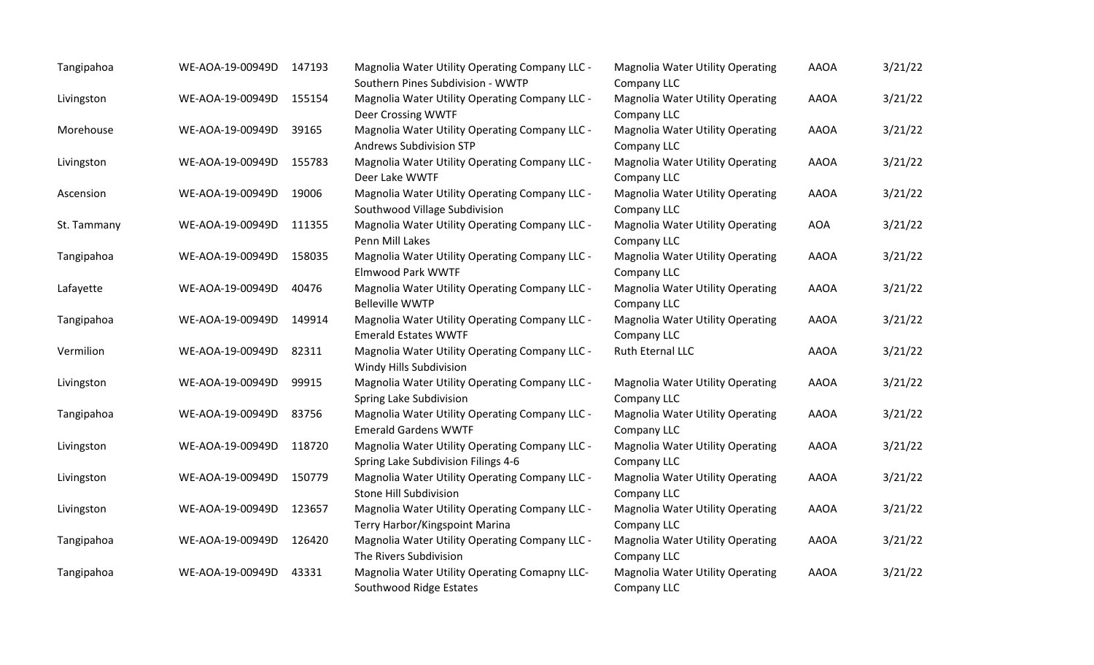| Tangipahoa  | WE-AOA-19-00949D | 147193 | Magnolia Water Utility Operating Company LLC -<br>Southern Pines Subdivision - WWTP   | <b>Magnolia Water Utility Operating</b><br>Company LLC | <b>AAOA</b> | 3/21/22 |
|-------------|------------------|--------|---------------------------------------------------------------------------------------|--------------------------------------------------------|-------------|---------|
| Livingston  | WE-AOA-19-00949D | 155154 | Magnolia Water Utility Operating Company LLC -<br>Deer Crossing WWTF                  | <b>Magnolia Water Utility Operating</b><br>Company LLC | <b>AAOA</b> | 3/21/22 |
| Morehouse   | WE-AOA-19-00949D | 39165  | Magnolia Water Utility Operating Company LLC -<br><b>Andrews Subdivision STP</b>      | <b>Magnolia Water Utility Operating</b><br>Company LLC | <b>AAOA</b> | 3/21/22 |
| Livingston  | WE-AOA-19-00949D | 155783 | Magnolia Water Utility Operating Company LLC -<br>Deer Lake WWTF                      | <b>Magnolia Water Utility Operating</b><br>Company LLC | <b>AAOA</b> | 3/21/22 |
| Ascension   | WE-AOA-19-00949D | 19006  | Magnolia Water Utility Operating Company LLC -<br>Southwood Village Subdivision       | <b>Magnolia Water Utility Operating</b><br>Company LLC | <b>AAOA</b> | 3/21/22 |
| St. Tammany | WE-AOA-19-00949D | 111355 | Magnolia Water Utility Operating Company LLC -<br>Penn Mill Lakes                     | <b>Magnolia Water Utility Operating</b><br>Company LLC | <b>AOA</b>  | 3/21/22 |
| Tangipahoa  | WE-AOA-19-00949D | 158035 | Magnolia Water Utility Operating Company LLC -<br><b>Elmwood Park WWTF</b>            | <b>Magnolia Water Utility Operating</b><br>Company LLC | <b>AAOA</b> | 3/21/22 |
| Lafayette   | WE-AOA-19-00949D | 40476  | Magnolia Water Utility Operating Company LLC -<br><b>Belleville WWTP</b>              | <b>Magnolia Water Utility Operating</b><br>Company LLC | <b>AAOA</b> | 3/21/22 |
| Tangipahoa  | WE-AOA-19-00949D | 149914 | Magnolia Water Utility Operating Company LLC -<br><b>Emerald Estates WWTF</b>         | <b>Magnolia Water Utility Operating</b><br>Company LLC | <b>AAOA</b> | 3/21/22 |
| Vermilion   | WE-AOA-19-00949D | 82311  | Magnolia Water Utility Operating Company LLC -<br>Windy Hills Subdivision             | Ruth Eternal LLC                                       | <b>AAOA</b> | 3/21/22 |
| Livingston  | WE-AOA-19-00949D | 99915  | Magnolia Water Utility Operating Company LLC -<br>Spring Lake Subdivision             | <b>Magnolia Water Utility Operating</b><br>Company LLC | <b>AAOA</b> | 3/21/22 |
| Tangipahoa  | WE-AOA-19-00949D | 83756  | Magnolia Water Utility Operating Company LLC -<br><b>Emerald Gardens WWTF</b>         | <b>Magnolia Water Utility Operating</b><br>Company LLC | <b>AAOA</b> | 3/21/22 |
| Livingston  | WE-AOA-19-00949D | 118720 | Magnolia Water Utility Operating Company LLC -<br>Spring Lake Subdivision Filings 4-6 | <b>Magnolia Water Utility Operating</b><br>Company LLC | <b>AAOA</b> | 3/21/22 |
| Livingston  | WE-AOA-19-00949D | 150779 | Magnolia Water Utility Operating Company LLC -<br>Stone Hill Subdivision              | <b>Magnolia Water Utility Operating</b><br>Company LLC | <b>AAOA</b> | 3/21/22 |
| Livingston  | WE-AOA-19-00949D | 123657 | Magnolia Water Utility Operating Company LLC -<br>Terry Harbor/Kingspoint Marina      | <b>Magnolia Water Utility Operating</b><br>Company LLC | <b>AAOA</b> | 3/21/22 |
| Tangipahoa  | WE-AOA-19-00949D | 126420 | Magnolia Water Utility Operating Company LLC -<br>The Rivers Subdivision              | <b>Magnolia Water Utility Operating</b><br>Company LLC | <b>AAOA</b> | 3/21/22 |
| Tangipahoa  | WE-AOA-19-00949D | 43331  | Magnolia Water Utility Operating Comapny LLC-<br>Southwood Ridge Estates              | <b>Magnolia Water Utility Operating</b><br>Company LLC | <b>AAOA</b> | 3/21/22 |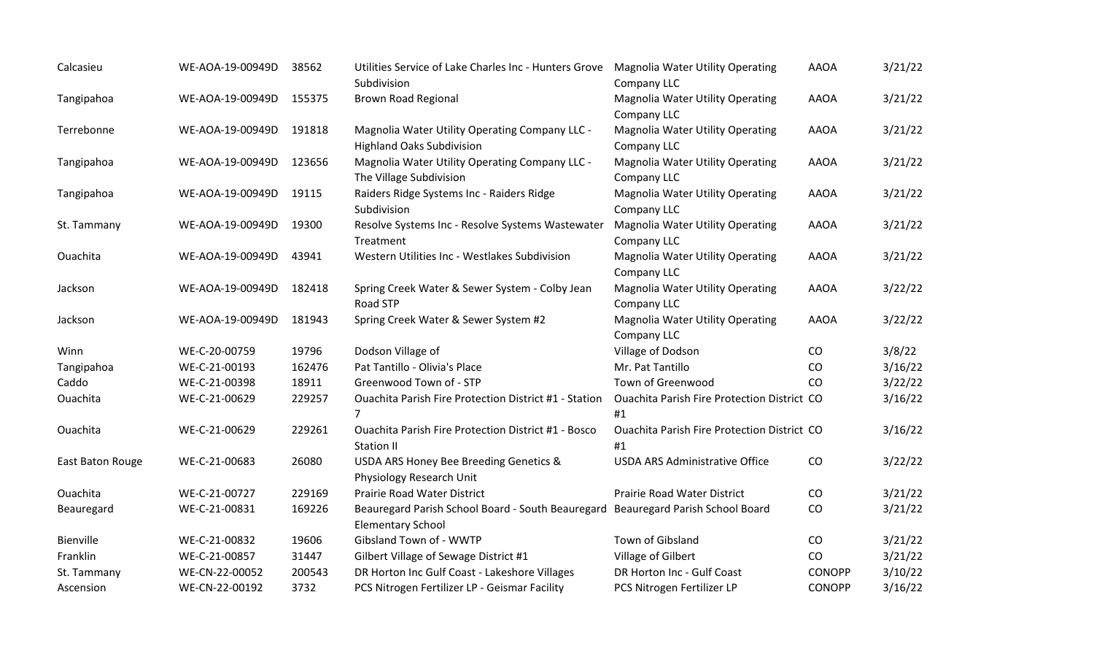| Calcasieu        | WE-AOA-19-00949D | 38562  | Utilities Service of Lake Charles Inc - Hunters Grove<br>Subdivision                                         | <b>Magnolia Water Utility Operating</b><br>Company LLC   | <b>AAOA</b>   | 3/21/22 |
|------------------|------------------|--------|--------------------------------------------------------------------------------------------------------------|----------------------------------------------------------|---------------|---------|
| Tangipahoa       | WE-AOA-19-00949D | 155375 | <b>Brown Road Regional</b>                                                                                   | Magnolia Water Utility Operating<br>Company LLC          | <b>AAOA</b>   | 3/21/22 |
| Terrebonne       | WE-AOA-19-00949D | 191818 | Magnolia Water Utility Operating Company LLC -<br><b>Highland Oaks Subdivision</b>                           | <b>Magnolia Water Utility Operating</b><br>Company LLC   | <b>AAOA</b>   | 3/21/22 |
| Tangipahoa       | WE-AOA-19-00949D | 123656 | Magnolia Water Utility Operating Company LLC -<br>The Village Subdivision                                    | <b>Magnolia Water Utility Operating</b><br>Company LLC   | <b>AAOA</b>   | 3/21/22 |
| Tangipahoa       | WE-AOA-19-00949D | 19115  | Raiders Ridge Systems Inc - Raiders Ridge<br>Subdivision                                                     | <b>Magnolia Water Utility Operating</b><br>Company LLC   | <b>AAOA</b>   | 3/21/22 |
| St. Tammany      | WE-AOA-19-00949D | 19300  | Resolve Systems Inc - Resolve Systems Wastewater<br>Treatment                                                | <b>Magnolia Water Utility Operating</b><br>Company LLC   | <b>AAOA</b>   | 3/21/22 |
| Ouachita         | WE-AOA-19-00949D | 43941  | Western Utilities Inc - Westlakes Subdivision                                                                | <b>Magnolia Water Utility Operating</b><br>Company LLC   | <b>AAOA</b>   | 3/21/22 |
| Jackson          | WE-AOA-19-00949D | 182418 | Spring Creek Water & Sewer System - Colby Jean<br><b>Road STP</b>                                            | Magnolia Water Utility Operating<br>Company LLC          | <b>AAOA</b>   | 3/22/22 |
| Jackson          | WE-AOA-19-00949D | 181943 | Spring Creek Water & Sewer System #2                                                                         | <b>Magnolia Water Utility Operating</b><br>Company LLC   | <b>AAOA</b>   | 3/22/22 |
| Winn             | WE-C-20-00759    | 19796  | Dodson Village of                                                                                            | Village of Dodson                                        | CO            | 3/8/22  |
| Tangipahoa       | WE-C-21-00193    | 162476 | Pat Tantillo - Olivia's Place                                                                                | Mr. Pat Tantillo                                         | CO            | 3/16/22 |
| Caddo            | WE-C-21-00398    | 18911  | Greenwood Town of - STP                                                                                      | Town of Greenwood                                        | CO            | 3/22/22 |
| Ouachita         | WE-C-21-00629    | 229257 | <b>Ouachita Parish Fire Protection District #1 - Station</b><br>$\overline{7}$                               | <b>Ouachita Parish Fire Protection District CO</b><br>#1 |               | 3/16/22 |
| Ouachita         | WE-C-21-00629    | 229261 | <b>Ouachita Parish Fire Protection District #1 - Bosco</b><br>Station II                                     | Ouachita Parish Fire Protection District CO<br>#1        |               | 3/16/22 |
| East Baton Rouge | WE-C-21-00683    | 26080  | USDA ARS Honey Bee Breeding Genetics &<br>Physiology Research Unit                                           | <b>USDA ARS Administrative Office</b>                    | CO            | 3/22/22 |
| Ouachita         | WE-C-21-00727    | 229169 | Prairie Road Water District                                                                                  | <b>Prairie Road Water District</b>                       | CO            | 3/21/22 |
| Beauregard       | WE-C-21-00831    | 169226 | Beauregard Parish School Board - South Beauregard Beauregard Parish School Board<br><b>Elementary School</b> |                                                          | CO            | 3/21/22 |
| Bienville        | WE-C-21-00832    | 19606  | Gibsland Town of - WWTP                                                                                      | Town of Gibsland                                         | CO            | 3/21/22 |
| Franklin         | WE-C-21-00857    | 31447  | Gilbert Village of Sewage District #1                                                                        | Village of Gilbert                                       | CO            | 3/21/22 |
| St. Tammany      | WE-CN-22-00052   | 200543 | DR Horton Inc Gulf Coast - Lakeshore Villages                                                                | DR Horton Inc - Gulf Coast                               | <b>CONOPP</b> | 3/10/22 |
| Ascension        | WE-CN-22-00192   | 3732   | PCS Nitrogen Fertilizer LP - Geismar Facility                                                                | PCS Nitrogen Fertilizer LP                               | <b>CONOPP</b> | 3/16/22 |